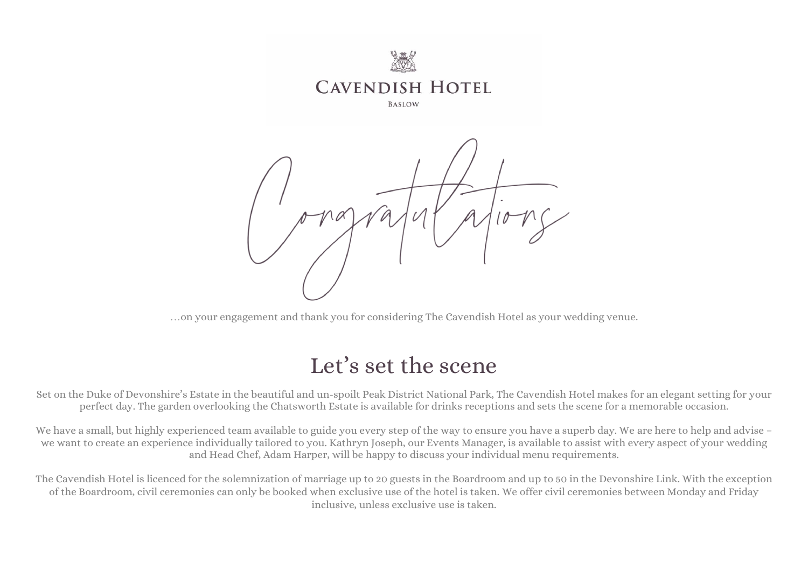

…on your engagement and thank you for considering The Cavendish Hotel as your wedding venue.

# Let's set the scene

Set on the Duke of Devonshire's Estate in the beautiful and un-spoilt Peak District National Park, The Cavendish Hotel makes for an elegant setting for your perfect day. The garden overlooking the Chatsworth Estate is available for drinks receptions and sets the scene for a memorable occasion.

We have a small, but highly experienced team available to guide you every step of the way to ensure you have a superb day. We are here to help and advise – we want to create an experience individually tailored to you. Kathryn Joseph, our Events Manager, is available to assist with every aspect of your wedding and Head Chef, Adam Harper, will be happy to discuss your individual menu requirements.

The Cavendish Hotel is licenced for the solemnization of marriage up to 20 guests in the Boardroom and up to 50 in the Devonshire Link. With the exception of the Boardroom, civil ceremonies can only be booked when exclusive use of the hotel is taken. We offer civil ceremonies between Monday and Friday inclusive, unless exclusive use is taken.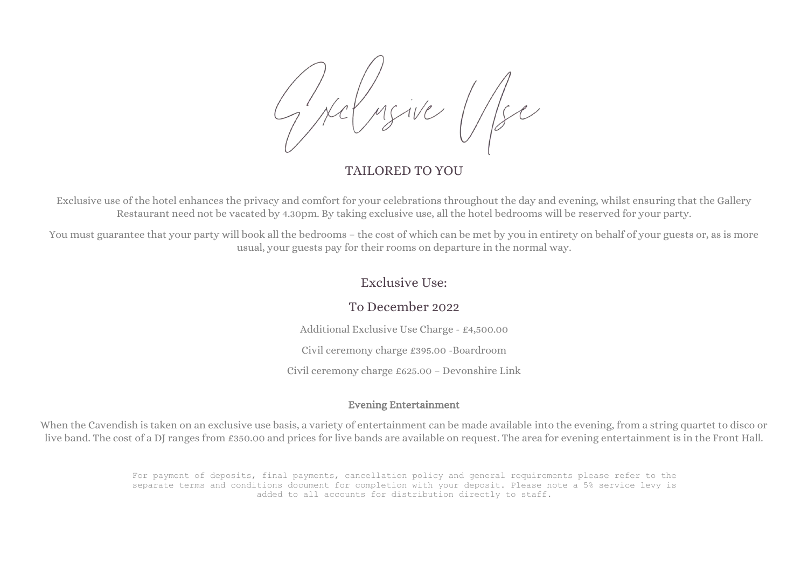#### TAILORED TO YOU

Exclusive use of the hotel enhances the privacy and comfort for your celebrations throughout the day and evening, whilst ensuring that the Gallery Restaurant need not be vacated by 4.30pm. By taking exclusive use, all the hotel bedrooms will be reserved for your party.

You must guarantee that your party will book all the bedrooms – the cost of which can be met by you in entirety on behalf of your guests or, as is more usual, your guests pay for their rooms on departure in the normal way.

#### Exclusive Use:

#### To December 2022

Additional Exclusive Use Charge - £4,500.00

Civil ceremony charge £395.00 -Boardroom

Civil ceremony charge £625.00 – Devonshire Link

#### Evening Entertainment

When the Cavendish is taken on an exclusive use basis, a variety of entertainment can be made available into the evening, from a string quartet to disco or live band. The cost of a DJ ranges from £350.00 and prices for live bands are available on request. The area for evening entertainment is in the Front Hall.

> For payment of deposits, final payments, cancellation policy and general requirements please refer to the separate terms and conditions document for completion with your deposit. Please note a 5% service levy is added to all accounts for distribution directly to staff.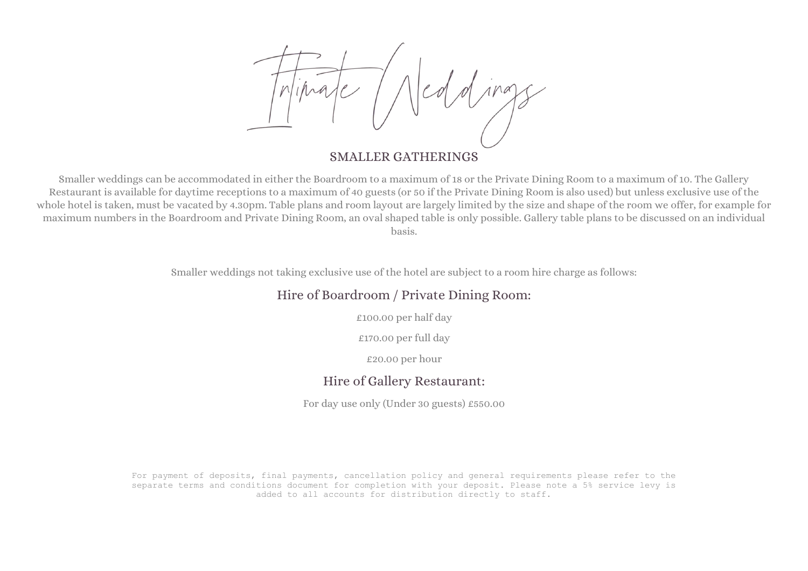### SMALLER GATHERINGS

Smaller weddings can be accommodated in either the Boardroom to a maximum of 18 or the Private Dining Room to a maximum of 10. The Gallery Restaurant is available for daytime receptions to a maximum of 40 guests (or 50 if the Private Dining Room is also used) but unless exclusive use of the whole hotel is taken, must be vacated by 4.30pm. Table plans and room layout are largely limited by the size and shape of the room we offer, for example for maximum numbers in the Boardroom and Private Dining Room, an oval shaped table is only possible. Gallery table plans to be discussed on an individual basis.

Smaller weddings not taking exclusive use of the hotel are subject to a room hire charge as follows:

### Hire of Boardroom / Private Dining Room:

£100.00 per half day

£170.00 per full day

£20.00 per hour

#### Hire of Gallery Restaurant:

For day use only (Under 30 guests) £550.00

For payment of deposits, final payments, cancellation policy and general requirements please refer to the separate terms and conditions document for completion with your deposit. Please note a 5% service levy is added to all accounts for distribution directly to staff.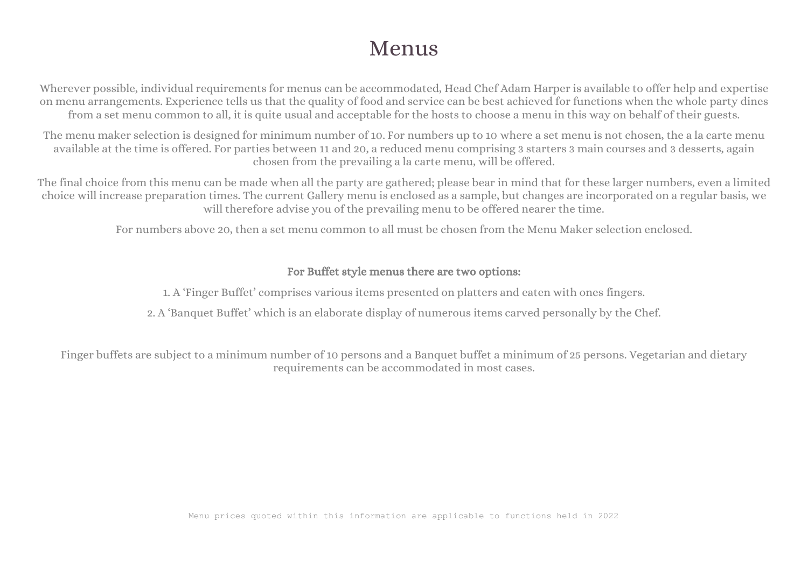# Menus

Wherever possible, individual requirements for menus can be accommodated, Head Chef Adam Harper is available to offer help and expertise on menu arrangements. Experience tells us that the quality of food and service can be best achieved for functions when the whole party dines from a set menu common to all, it is quite usual and acceptable for the hosts to choose a menu in this way on behalf of their guests.

The menu maker selection is designed for minimum number of 10. For numbers up to 10 where a set menu is not chosen, the a la carte menu available at the time is offered. For parties between 11 and 20, a reduced menu comprising 3 starters 3 main courses and 3 desserts, again chosen from the prevailing a la carte menu, will be offered.

The final choice from this menu can be made when all the party are gathered; please bear in mind that for these larger numbers, even a limited choice will increase preparation times. The current Gallery menu is enclosed as a sample, but changes are incorporated on a regular basis, we will therefore advise you of the prevailing menu to be offered nearer the time.

For numbers above 20, then a set menu common to all must be chosen from the Menu Maker selection enclosed.

#### For Buffet style menus there are two options:

1. A 'Finger Buffet' comprises various items presented on platters and eaten with ones fingers.

2. A 'Banquet Buffet' which is an elaborate display of numerous items carved personally by the Chef.

Finger buffets are subject to a minimum number of 10 persons and a Banquet buffet a minimum of 25 persons. Vegetarian and dietary requirements can be accommodated in most cases.

Menu prices quoted within this information are applicable to functions held in 2022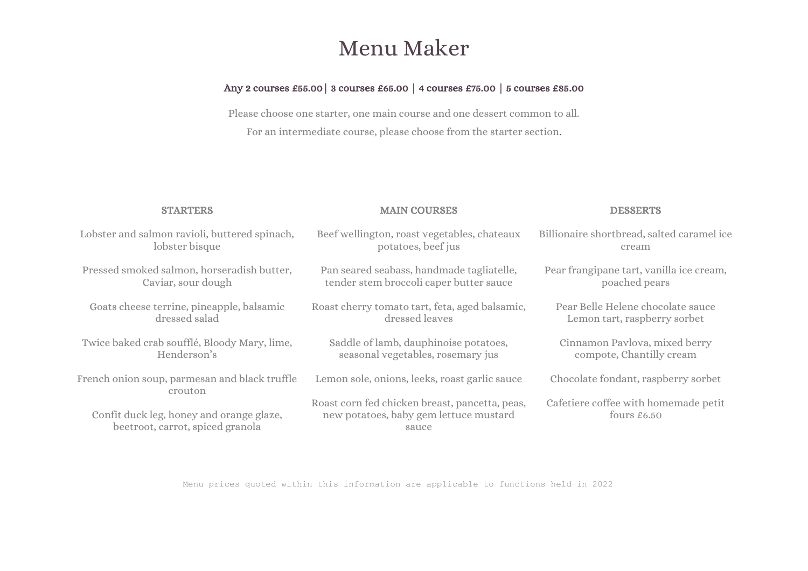# Menu Maker

#### Any 2 courses £55.00| 3 courses £65.00 | 4 courses £75.00 | 5 courses £85.00

Please choose one starter, one main course and one dessert common to all. For an intermediate course, please choose from the starter section.

| <b>STARTERS</b>                                                              | <b>MAIN COURSES</b>                                                                               | <b>DESSERTS</b>                                     |
|------------------------------------------------------------------------------|---------------------------------------------------------------------------------------------------|-----------------------------------------------------|
| Lobster and salmon ravioli, buttered spinach,                                | Beef wellington, roast vegetables, chateaux                                                       | Billionaire shortbread, salted caramelice           |
| lobster bisque                                                               | potatoes, beef jus                                                                                | cream                                               |
| Pressed smoked salmon, horseradish butter,                                   | Pan seared seabass, handmade tagliatelle,                                                         | Pear frangipane tart, vanilla ice cream,            |
| Caviar, sour dough                                                           | tender stem broccoli caper butter sauce                                                           | poached pears                                       |
| Goats cheese terrine, pineapple, balsamic                                    | Roast cherry tomato tart, feta, aged balsamic,                                                    | Pear Belle Helene chocolate sauce                   |
| dressed salad                                                                | dressed leaves                                                                                    | Lemon tart, raspberry sorbet                        |
| Twice baked crab soufflé, Bloody Mary, lime,                                 | Saddle of lamb, dauphinoise potatoes,                                                             | Cinnamon Pavlova, mixed berry                       |
| Henderson's                                                                  | seasonal vegetables, rosemary jus                                                                 | compote, Chantilly cream                            |
| French onion soup, parmesan and black truffle<br>crouton                     | Lemon sole, onions, leeks, roast garlic sauce                                                     | Chocolate fondant, raspberry sorbet                 |
| Confit duck leg, honey and orange glaze,<br>beetroot, carrot, spiced granola | Roast corn fed chicken breast, pancetta, peas,<br>new potatoes, baby gem lettuce mustard<br>sauce | Cafetiere coffee with homemade petit<br>fours £6.50 |

Menu prices quoted within this information are applicable to functions held in 2022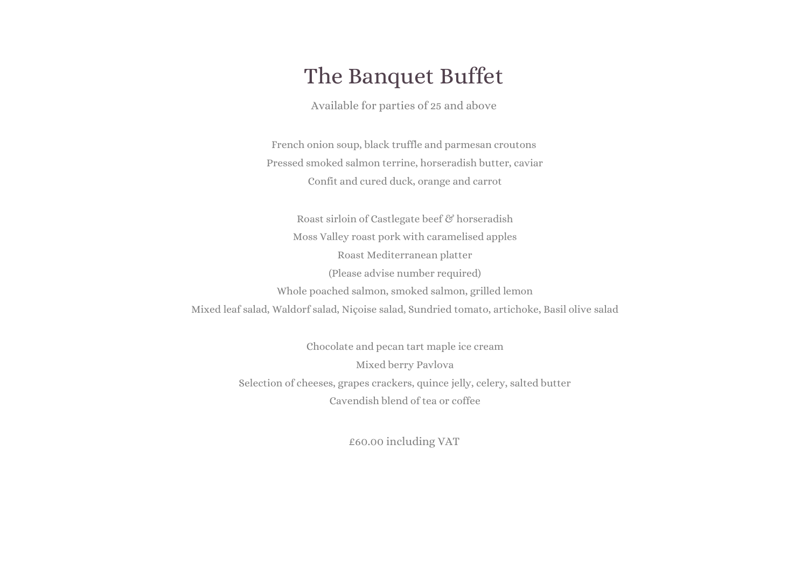# The Banquet Buffet

Available for parties of 25 and above

French onion soup, black truffle and parmesan croutons Pressed smoked salmon terrine, horseradish butter, caviar Confit and cured duck, orange and carrot

Roast sirloin of Castlegate beef & horseradish Moss Valley roast pork with caramelised apples Roast Mediterranean platter (Please advise number required) Whole poached salmon, smoked salmon, grilled lemon Mixed leaf salad, Waldorf salad, Niçoise salad, Sundried tomato, artichoke, Basil olive salad

> Chocolate and pecan tart maple ice cream Mixed berry Pavlova Selection of cheeses, grapes crackers, quince jelly, celery, salted butter Cavendish blend of tea or coffee

> > £60.00 including VAT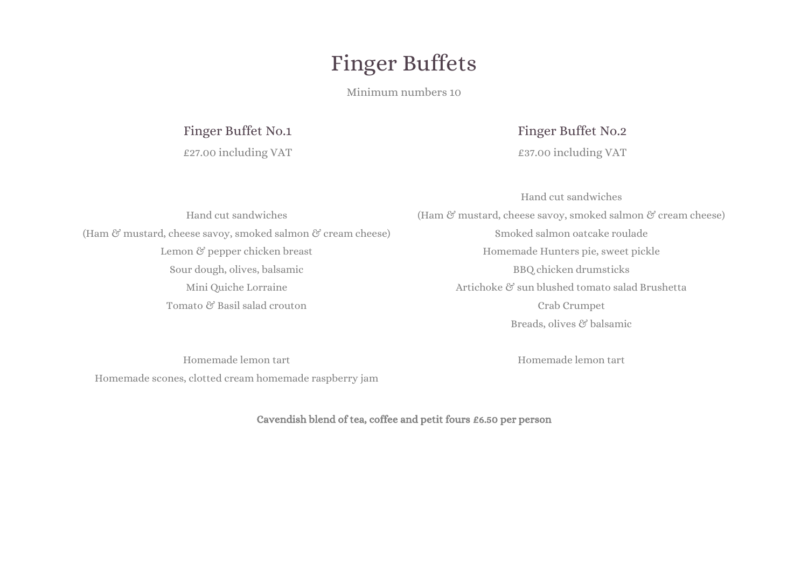# Finger Buffets

Minimum numbers 10

### Finger Buffet No.1

£27.00 including VAT

### Finger Buffet No.2

£37.00 including VAT

Hand cut sandwiches (Ham & mustard, cheese savoy, smoked salmon & cream cheese) Lemon & pepper chicken breast Sour dough, olives, balsamic Mini Quiche Lorraine Tomato & Basil salad crouton

Hand cut sandwiches (Ham  $\mathcal C$  mustard, cheese savoy, smoked salmon  $\mathcal C$  cream cheese) Smoked salmon oatcake roulade Homemade Hunters pie, sweet pickle BBQ chicken drumsticks Artichoke & sun blushed tomato salad Brushetta Crab Crumpet Breads, olives & balsamic

Homemade lemon tart Homemade scones, clotted cream homemade raspberry jam Homemade lemon tart

Cavendish blend of tea, coffee and petit fours £6.50 per person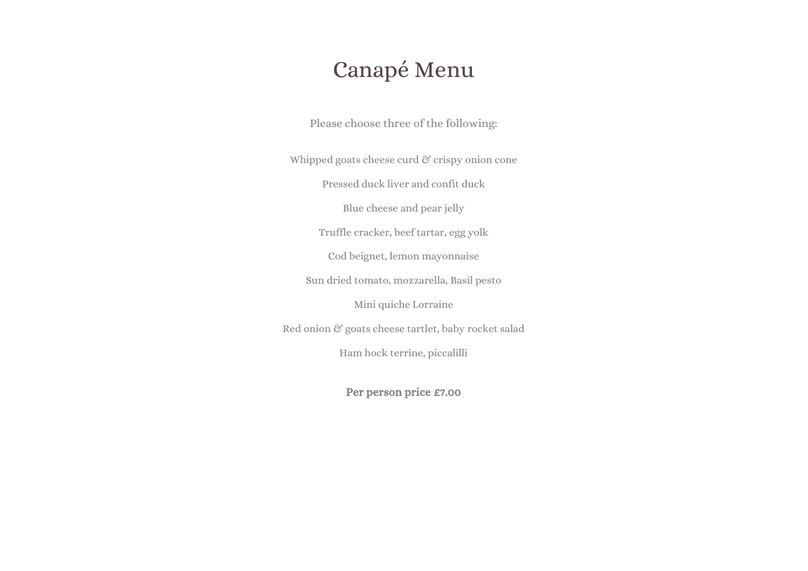## Canapé Menu

Please choose three of the following:

Whipped goats cheese curd  $\mathcal C$  crispy onion cone

Pressed duck liver and confit duck

Blue cheese and pear jelly

Truffle cracker, beef tartar, egg yolk

Cod beignet, lemon mayonnaise

Sun dried tomato, mozzarella, Basil pesto

Mini quiche Lorraine

Red onion & goats cheese tartlet, baby rocket salad

Ham hock terrine, piccalilli

Per person price £7.00